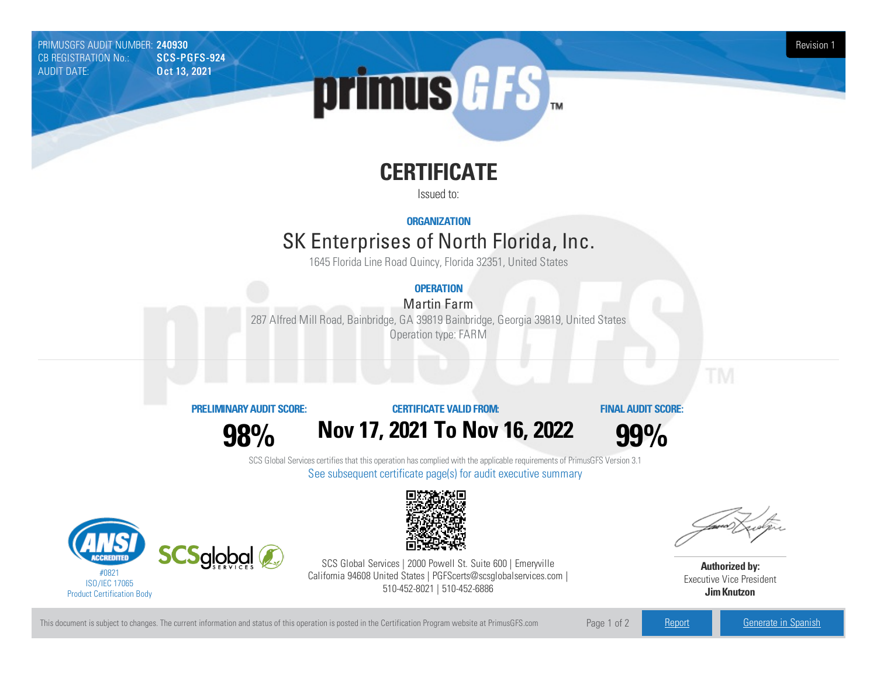PRIMUSGFS AUDIT NUMBER: 240930 Revision 1 CB REGISTRATION No.: AUDIT DATE: **Oct 13, 2021** 



# **CERTIFICATE**

Issued to:

**ORGANIZATION**

# SK Enterprises of North Florida, Inc.

1645 Florida Line Road Quincy, Florida 32351, United States

## **OPERATION**

Martin Farm

287 Alfred Mill Road, Bainbridge, GA 39819 Bainbridge, Georgia39819, United States Operation type: FARM

### **PRELIMINARYAUDIT SCORE:**

**CERTIFICATE VALIDFROM:**

**FINAL AUDIT SCORE:**

**98%**





SCS Global Services certifies that this operation has complied with the applicable requirements of PrimusGFS Version 3.1 See subsequent certificate page(s) for audit executive summary





SCS Global Services | 2000 Powell St. Suite 600 | Emeryville California 94608 United States | PGFScerts@scsglobalservices.com | 510-452-8021 | 510-452-6886

**Authorized by:** Executive Vice President **JimKnutzon**

This document is subject to changes. The current information and status of this operation is posted in the Certification Program website at PrimusGFS.com Page 1 of 2 [Report](https://secure.azzule.com/PGFSDocuments/PGFS_AuditReport240930_5810_1_EN.pdf) [Generate](https://secure.azzule.com/PrimusGFSAudits/pdfGenerator.aspx?AuditHeaderID=34869088157634795836881126616824758456556&AppId=57423014622&LanguageID=1&UserId=1) in Spanish